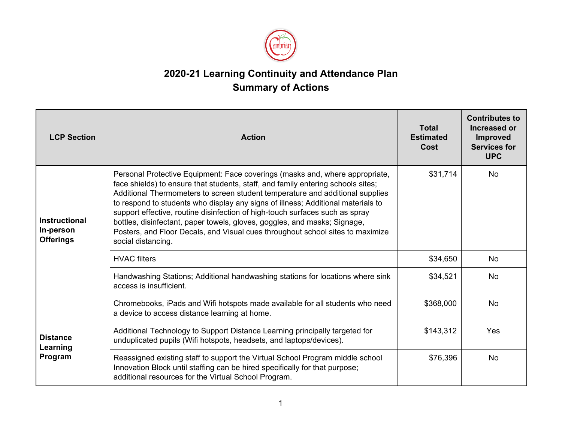

## **2020-21 Learning Continuity and Attendance Plan Summary of Actions**

| <b>LCP Section</b>                                    | <b>Action</b>                                                                                                                                                                                                                                                                                                                                                                                                                                                                                                                                                                                              | <b>Total</b><br><b>Estimated</b><br>Cost | <b>Contributes to</b><br><b>Increased or</b><br>Improved<br><b>Services for</b><br><b>UPC</b> |
|-------------------------------------------------------|------------------------------------------------------------------------------------------------------------------------------------------------------------------------------------------------------------------------------------------------------------------------------------------------------------------------------------------------------------------------------------------------------------------------------------------------------------------------------------------------------------------------------------------------------------------------------------------------------------|------------------------------------------|-----------------------------------------------------------------------------------------------|
| <b>Instructional</b><br>In-person<br><b>Offerings</b> | Personal Protective Equipment: Face coverings (masks and, where appropriate,<br>face shields) to ensure that students, staff, and family entering schools sites;<br>Additional Thermometers to screen student temperature and additional supplies<br>to respond to students who display any signs of illness; Additional materials to<br>support effective, routine disinfection of high-touch surfaces such as spray<br>bottles, disinfectant, paper towels, gloves, goggles, and masks; Signage,<br>Posters, and Floor Decals, and Visual cues throughout school sites to maximize<br>social distancing. | \$31,714                                 | No.                                                                                           |
|                                                       | <b>HVAC</b> filters                                                                                                                                                                                                                                                                                                                                                                                                                                                                                                                                                                                        | \$34,650                                 | <b>No</b>                                                                                     |
|                                                       | Handwashing Stations; Additional handwashing stations for locations where sink<br>access is insufficient.                                                                                                                                                                                                                                                                                                                                                                                                                                                                                                  | \$34,521                                 | <b>No</b>                                                                                     |
| <b>Distance</b><br>Learning<br>Program                | Chromebooks, iPads and Wifi hotspots made available for all students who need<br>a device to access distance learning at home.                                                                                                                                                                                                                                                                                                                                                                                                                                                                             | \$368,000                                | <b>No</b>                                                                                     |
|                                                       | Additional Technology to Support Distance Learning principally targeted for<br>unduplicated pupils (Wifi hotspots, headsets, and laptops/devices).                                                                                                                                                                                                                                                                                                                                                                                                                                                         | \$143,312                                | Yes                                                                                           |
|                                                       | Reassigned existing staff to support the Virtual School Program middle school<br>Innovation Block until staffing can be hired specifically for that purpose;<br>additional resources for the Virtual School Program.                                                                                                                                                                                                                                                                                                                                                                                       | \$76,396                                 | <b>No</b>                                                                                     |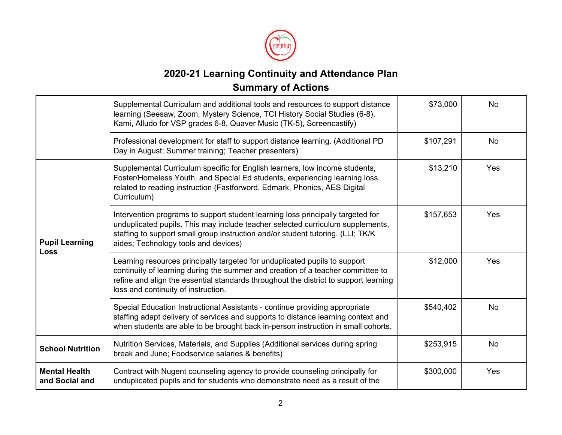

## **2020-21 Learning Continuity and Attendance Plan Summary of Actions**

|                                        | Supplemental Curriculum and additional tools and resources to support distance<br>learning (Seesaw, Zoom, Mystery Science, TCI History Social Studies (6-8),<br>Kami, Alludo for VSP grades 6-8, Quaver Music (TK-5), Screencastify)                                                         | \$73,000  | <b>No</b> |
|----------------------------------------|----------------------------------------------------------------------------------------------------------------------------------------------------------------------------------------------------------------------------------------------------------------------------------------------|-----------|-----------|
|                                        | Professional development for staff to support distance learning. (Additional PD<br>Day in August; Summer training; Teacher presenters)                                                                                                                                                       | \$107,291 | <b>No</b> |
| <b>Pupil Learning</b><br><b>Loss</b>   | Supplemental Curriculum specific for English learners, low income students,<br>Foster/Homeless Youth, and Special Ed students, experiencing learning loss<br>related to reading instruction (Fastforword, Edmark, Phonics, AES Digital<br>Curriculum)                                        | \$13,210  | Yes       |
|                                        | Intervention programs to support student learning loss principally targeted for<br>unduplicated pupils. This may include teacher selected curriculum supplements,<br>staffing to support small group instruction and/or student tutoring. (LLI; TK/K<br>aides; Technology tools and devices) | \$157,653 | Yes       |
|                                        | Learning resources principally targeted for unduplicated pupils to support<br>continuity of learning during the summer and creation of a teacher committee to<br>refine and align the essential standards throughout the district to support learning<br>loss and continuity of instruction. | \$12,000  | Yes       |
|                                        | Special Education Instructional Assistants - continue providing appropriate<br>staffing adapt delivery of services and supports to distance learning context and<br>when students are able to be brought back in-person instruction in small cohorts.                                        | \$540,402 | <b>No</b> |
| <b>School Nutrition</b>                | Nutrition Services, Materials, and Supplies (Additional services during spring<br>break and June; Foodservice salaries & benefits)                                                                                                                                                           | \$253,915 | <b>No</b> |
| <b>Mental Health</b><br>and Social and | Contract with Nugent counseling agency to provide counseling principally for<br>unduplicated pupils and for students who demonstrate need as a result of the                                                                                                                                 | \$300,000 | Yes       |